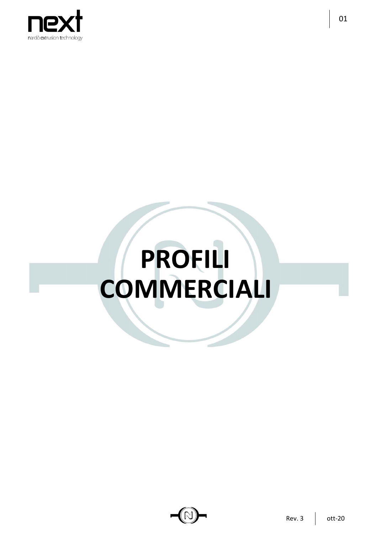

## PROFILI **COMMERCIALI**



01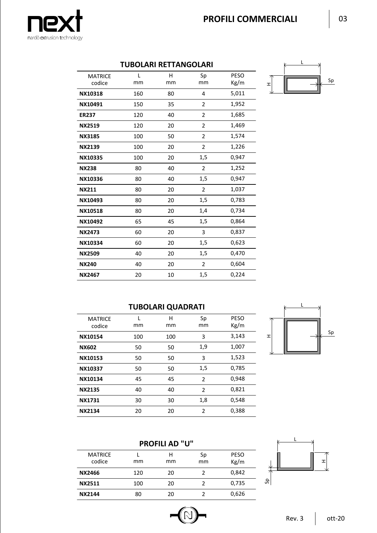

## **TUBOLARI RETTANGOLARI**

| <b>MATRICE</b><br>codice | L<br>mm | H<br>mm | Sp<br>mm       | <b>PESO</b><br>Kg/m |   |
|--------------------------|---------|---------|----------------|---------------------|---|
|                          |         |         |                |                     | ェ |
| NX10318                  | 160     | 80      | $\overline{4}$ | 5,011               |   |
| NX10491                  | 150     | 35      | 2              | 1,952               |   |
| <b>ER237</b>             | 120     | 40      | $\overline{2}$ | 1,685               |   |
| <b>NX2519</b>            | 120     | 20      | $\overline{2}$ | 1,469               |   |
| <b>NX3185</b>            | 100     | 50      | $\overline{2}$ | 1,574               |   |
| <b>NX2139</b>            | 100     | 20      | $\overline{2}$ | 1,226               |   |
| NX10335                  | 100     | 20      | 1,5            | 0,947               |   |
| <b>NX238</b>             | 80      | 40      | $\overline{2}$ | 1,252               |   |
| NX10336                  | 80      | 40      | 1,5            | 0,947               |   |
| <b>NX211</b>             | 80      | 20      | $\overline{2}$ | 1,037               |   |
| NX10493                  | 80      | 20      | 1,5            | 0,783               |   |
| NX10518                  | 80      | 20      | 1,4            | 0,734               |   |
| NX10492                  | 65      | 45      | 1,5            | 0,864               |   |
| <b>NX2473</b>            | 60      | 20      | 3              | 0,837               |   |
| NX10334                  | 60      | 20      | 1,5            | 0,623               |   |
| <b>NX2509</b>            | 40      | 20      | 1,5            | 0,470               |   |
| <b>NX240</b>             | 40      | 20      | $\overline{2}$ | 0,604               |   |
| <b>NX2467</b>            | 20      | 10      | 1,5            | 0,224               |   |



## **TUBOLARI QUADRATI**

| <b>MATRICE</b><br>codice | mm  | H<br>mm | Sp<br>mm       | <b>PESO</b><br>Kg/m | ᅎ |  |
|--------------------------|-----|---------|----------------|---------------------|---|--|
| NX10154                  | 100 | 100     | 3              | 3,143               | I |  |
| <b>NX602</b>             | 50  | 50      | 1,9            | 1,007               |   |  |
| NX10153                  | 50  | 50      | 3              | 1,523               |   |  |
| NX10337                  | 50  | 50      | 1,5            | 0,785               |   |  |
| NX10134                  | 45  | 45      | $\overline{2}$ | 0,948               |   |  |
| <b>NX2135</b>            | 40  | 40      | 2              | 0,821               |   |  |
| <b>NX1731</b>            | 30  | 30      | 1,8            | 0,548               |   |  |
| <b>NX2134</b>            | 20  | 20      | $\overline{2}$ | 0,388               |   |  |
|                          |     |         |                |                     |   |  |



## **PROFILI AD "U"**

| <b>MATRICE</b><br>codice | mm  | н<br>mm | Sp<br>mm | <b>PESO</b><br>Kg/m |        |
|--------------------------|-----|---------|----------|---------------------|--------|
| NX2466                   | 120 | 20      |          | 0,842               |        |
| <b>NX2511</b>            | 100 | 20      |          | 0,735               | ≏<br>ທ |
| <b>NX2144</b>            | 80  | 20      |          | 0,626               |        |